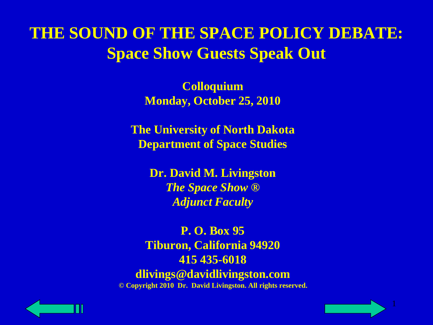# **THE SOUND OF THE SPACE POLICY DEBATE: Space Show Guests Speak Out**

**Colloquium Monday, October 25, 2010**

**The University of North Dakota Department of Space Studies**

> **Dr. David M. Livingston** *The Space Show ® Adjunct Faculty*

**P. O. Box 95 Tiburon, California 94920 415 435-6018 dlivings@davidlivingston.com © Copyright 2010 Dr. David Livingston. All rights reserved.**



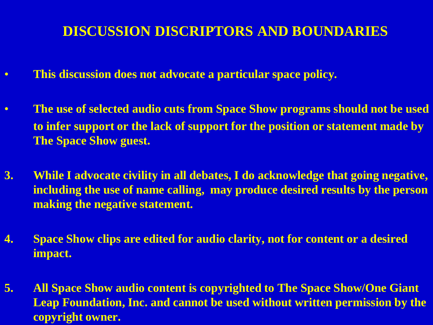#### **DISCUSSION DISCRIPTORS AND BOUNDARIES**

- **This discussion does not advocate a particular space policy.**
- **The use of selected audio cuts from Space Show programs should not be used to infer support or the lack of support for the position or statement made by The Space Show guest.**
- **3. While I advocate civility in all debates, I do acknowledge that going negative, including the use of name calling, may produce desired results by the person making the negative statement.**
- **4. Space Show clips are edited for audio clarity, not for content or a desired impact.**
- Leap Foundation, Inc. and cannot be used without written permission by the **5. All Space Show audio content is copyrighted to The Space Show/One Giant copyright owner.**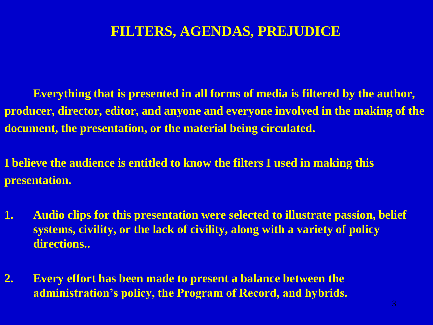#### **FILTERS, AGENDAS, PREJUDICE**

**Everything that is presented in all forms of media is filtered by the author, producer, director, editor, and anyone and everyone involved in the making of the document, the presentation, or the material being circulated.**

**I believe the audience is entitled to know the filters I used in making this presentation.**

- **1. Audio clips for this presentation were selected to illustrate passion, belief systems, civility, or the lack of civility, along with a variety of policy directions..**
- **2. Every effort has been made to present a balance between the administration's policy, the Program of Record, and hybrids.**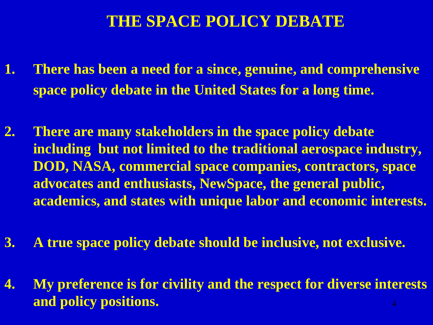#### **THE SPACE POLICY DEBATE**

- **1. There has been a need for a since, genuine, and comprehensive space policy debate in the United States for a long time.**
- **2. There are many stakeholders in the space policy debate including but not limited to the traditional aerospace industry, DOD, NASA, commercial space companies, contractors, space advocates and enthusiasts, NewSpace, the general public, academics, and states with unique labor and economic interests.**
- **3. A true space policy debate should be inclusive, not exclusive.**
- 4 **4. My preference is for civility and the respect for diverse interests and policy positions.**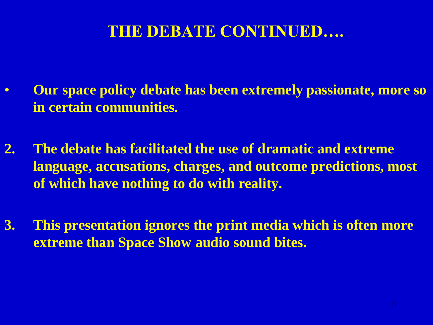# **THE DEBATE CONTINUED….**

- **Our space policy debate has been extremely passionate, more so in certain communities.**
- **2. The debate has facilitated the use of dramatic and extreme language, accusations, charges, and outcome predictions, most of which have nothing to do with reality.**
- **3. This presentation ignores the print media which is often more extreme than Space Show audio sound bites.**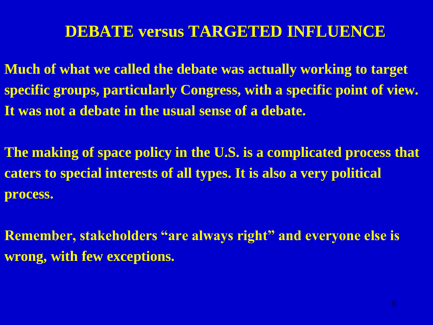#### **DEBATE versus TARGETED INFLUENCE**

**Much of what we called the debate was actually working to target specific groups, particularly Congress, with a specific point of view. It was not a debate in the usual sense of a debate.**

**The making of space policy in the U.S. is a complicated process that caters to special interests of all types. It is also a very political process.** 

**Remember, stakeholders "are always right" and everyone else is wrong, with few exceptions.**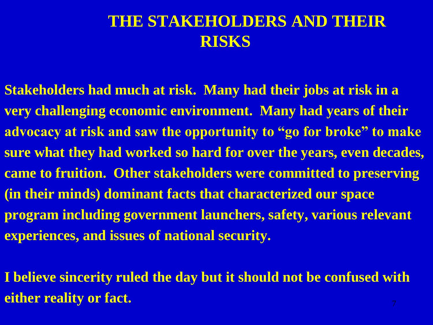# **THE STAKEHOLDERS AND THEIR RISKS**

- **Stakeholders had much at risk. Many had their jobs at risk in a very challenging economic environment. Many had years of their advocacy at risk and saw the opportunity to "go for broke" to make sure what they had worked so hard for over the years, even decades, came to fruition. Other stakeholders were committed to preserving (in their minds) dominant facts that characterized our space program including government launchers, safety, various relevant experiences, and issues of national security.**
- **I believe sincerity ruled the day but it should not be confused with either reality or fact.**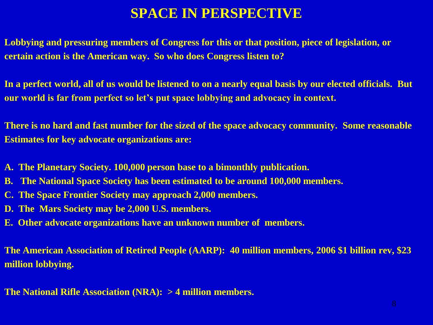#### **SPACE IN PERSPECTIVE**

**Lobbying and pressuring members of Congress for this or that position, piece of legislation, or certain action is the American way. So who does Congress listen to?**

**In a perfect world, all of us would be listened to on a nearly equal basis by our elected officials. But our world is far from perfect so let's put space lobbying and advocacy in context.**

**There is no hard and fast number for the sized of the space advocacy community. Some reasonable Estimates for key advocate organizations are:**

- **A. The Planetary Society. 100,000 person base to a bimonthly publication.**
- **B. The National Space Society has been estimated to be around 100,000 members.**
- **C. The Space Frontier Society may approach 2,000 members.**
- **D. The Mars Society may be 2,000 U.S. members.**
- **E. Other advocate organizations have an unknown number of members.**

**The American Association of Retired People (AARP): 40 million members, 2006 \$1 billion rev, \$23 million lobbying.**

**The National Rifle Association (NRA): > 4 million members.**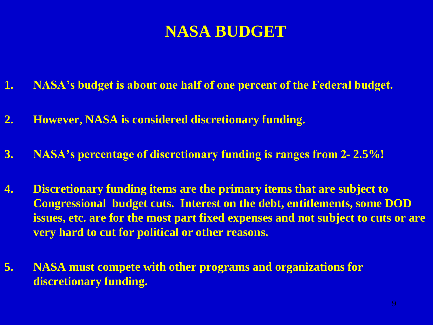# **NASA BUDGET**

- **1. NASA's budget is about one half of one percent of the Federal budget.**
- **2. However, NASA is considered discretionary funding.**
- **3. NASA's percentage of discretionary funding is ranges from 2- 2.5%!**
- **4. Discretionary funding items are the primary items that are subject to Congressional budget cuts. Interest on the debt, entitlements, some DOD issues, etc. are for the most part fixed expenses and not subject to cuts or are very hard to cut for political or other reasons.**
- **5. NASA must compete with other programs and organizations for discretionary funding.**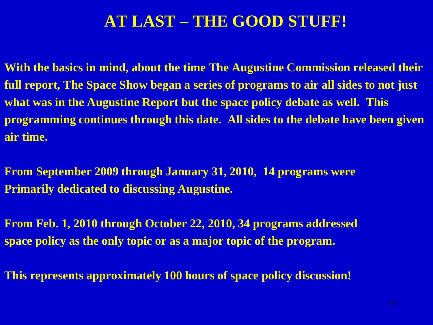#### **AT LAST – THE GOOD STUFF!**

**With the basics in mind, about the time The Augustine Commission released their full report, The Space Show began a series of programs to air all sides to not just what was in the Augustine Report but the space policy debate as well. This programming continues through this date. All sides to the debate have been given air time.**

**From September 2009 through January 31, 2010, 14 programs were Primarily dedicated to discussing Augustine.**

**From Feb. 1, 2010 through October 22, 2010, 34 programs addressed space policy as the only topic or as a major topic of the program.**

**This represents approximately 100 hours of space policy discussion!**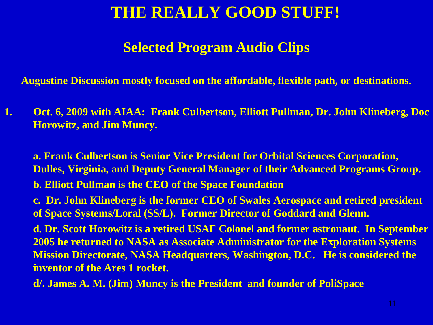### **THE REALLY GOOD STUFF!**

#### **Selected Program Audio Clips**

**Augustine Discussion mostly focused on the affordable, flexible path, or destinations.**

**1. Oct. 6, 2009 with AIAA: Frank Culbertson, Elliott Pullman, Dr. John Klineberg, Doc Horowitz, and Jim Muncy.** 

**a. Frank Culbertson is Senior Vice President for Orbital Sciences Corporation, Dulles, Virginia, and Deputy General Manager of their Advanced Programs Group. b. Elliott Pullman is the CEO of the Space Foundation**

**c. Dr. John Klineberg is the former CEO of Swales Aerospace and retired president of Space Systems/Loral (SS/L). Former Director of Goddard and Glenn.**

**d. Dr. Scott Horowitz is a retired USAF Colonel and former astronaut. In September 2005 he returned to NASA as Associate Administrator for the Exploration Systems Mission Directorate, NASA Headquarters, Washington, D.C. He is considered the inventor of the Ares 1 rocket.**

**d/. James A. M. (Jim) Muncy is the President and founder of PoliSpace**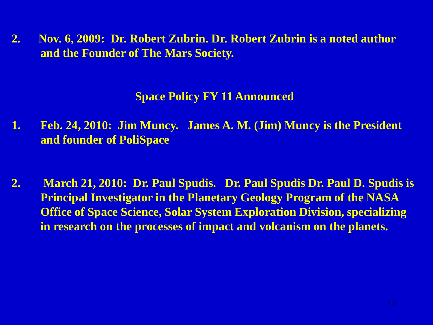**2. Nov. 6, 2009: Dr. Robert Zubrin. Dr. Robert Zubrin is a noted author and the Founder of The Mars Society.**

#### **Space Policy FY 11 Announced**

- **1. Feb. 24, 2010: Jim Muncy. James A. M. (Jim) Muncy is the President and founder of PoliSpace**
- **2. March 21, 2010: Dr. Paul Spudis. Dr. Paul Spudis Dr. Paul D. Spudis is Principal Investigator in the Planetary Geology Program of the NASA Office of Space Science, Solar System Exploration Division, specializing in research on the processes of impact and volcanism on the planets.**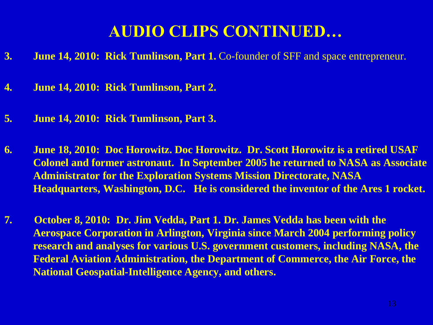# **AUDIO CLIPS CONTINUED…**

- **3. June 14, 2010: Rick Tumlinson, Part 1.** Co-founder of SFF and space entrepreneur.
- **4. June 14, 2010: Rick Tumlinson, Part 2.**
- **5. June 14, 2010: Rick Tumlinson, Part 3.**
- **6. June 18, 2010: Doc Horowitz. Doc Horowitz. Dr. Scott Horowitz is a retired USAF Colonel and former astronaut. In September 2005 he returned to NASA as Associate Administrator for the Exploration Systems Mission Directorate, NASA Headquarters, Washington, D.C. He is considered the inventor of the Ares 1 rocket.**
- **7. October 8, 2010: Dr. Jim Vedda, Part 1. Dr. James Vedda has been with the Aerospace Corporation in Arlington, Virginia since March 2004 performing policy research and analyses for various U.S. government customers, including NASA, the Federal Aviation Administration, the Department of Commerce, the Air Force, the National Geospatial-Intelligence Agency, and others.**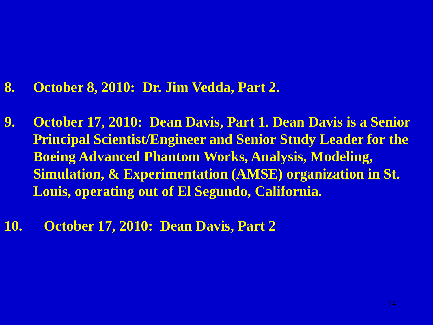#### **8. October 8, 2010: Dr. Jim Vedda, Part 2.**

- **9. October 17, 2010: Dean Davis, Part 1. Dean Davis is a Senior Principal Scientist/Engineer and Senior Study Leader for the Boeing Advanced Phantom Works, Analysis, Modeling, Simulation, & Experimentation (AMSE) organization in St. Louis, operating out of El Segundo, California.**
- **10. October 17, 2010: Dean Davis, Part 2**